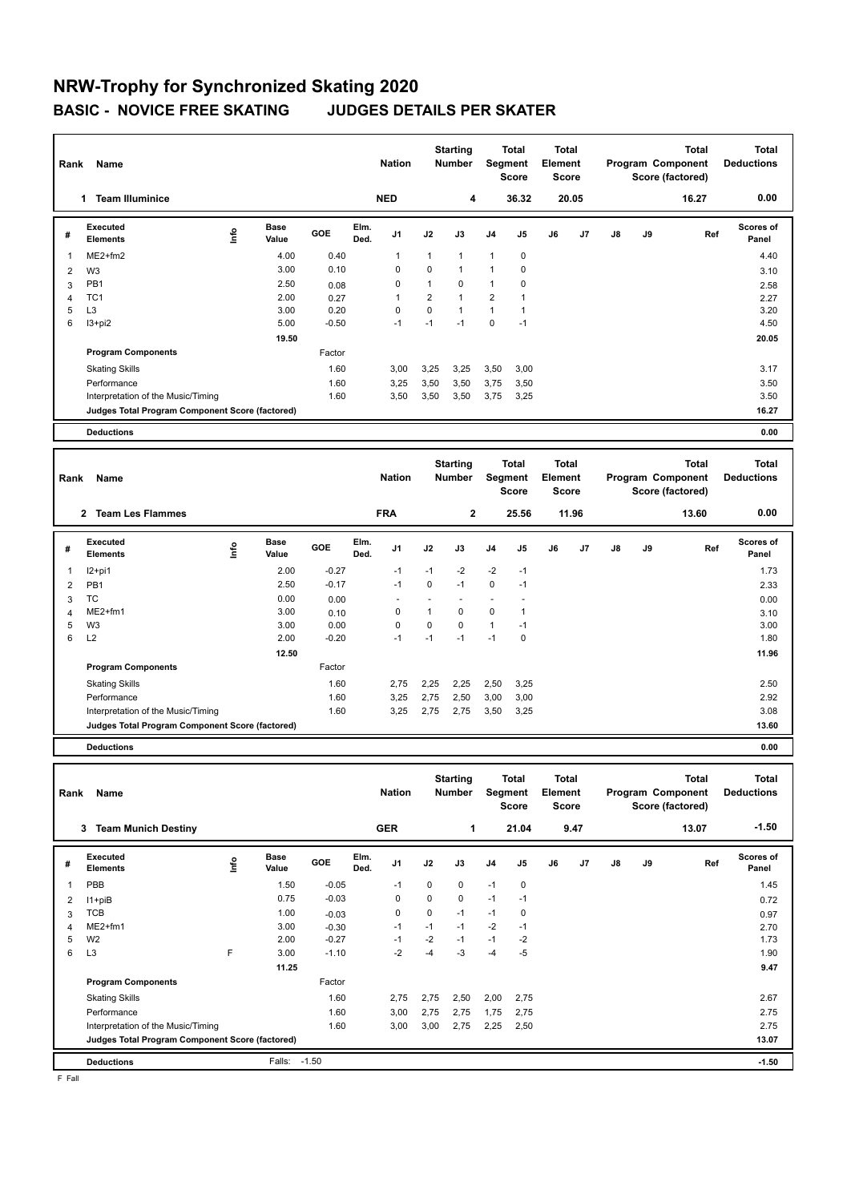## **NRW-Trophy for Synchronized Skating 2020 BASIC - NOVICE FREE SKATING JUDGES DETAILS PER SKATER**

| Name<br>Rank            |                                                 |      |                      |         |              | <b>Nation</b>                   |              | <b>Starting</b><br><b>Number</b>    |                | <b>Total</b><br>Segment<br>Score |                     | <b>Total</b><br>Element<br><b>Score</b> |    |    | <b>Total</b><br>Program Component<br>Score (factored) | <b>Total</b><br><b>Deductions</b> |
|-------------------------|-------------------------------------------------|------|----------------------|---------|--------------|---------------------------------|--------------|-------------------------------------|----------------|----------------------------------|---------------------|-----------------------------------------|----|----|-------------------------------------------------------|-----------------------------------|
|                         | <b>Team Illuminice</b><br>1                     |      |                      |         |              | <b>NED</b>                      |              | 4                                   |                | 36.32                            |                     | 20.05                                   |    |    | 16.27                                                 | 0.00                              |
| #                       | Executed<br><b>Elements</b>                     | lnfo | <b>Base</b><br>Value | GOE     | Elm.<br>Ded. | J <sub>1</sub>                  | J2           | J3                                  | J <sub>4</sub> | J5                               | J6                  | J7                                      | J8 | J9 | Ref                                                   | <b>Scores of</b><br>Panel         |
| $\overline{\mathbf{1}}$ | $ME2+fm2$                                       |      | 4.00                 | 0.40    |              | 1                               | $\mathbf{1}$ | $\mathbf{1}$                        | $\mathbf{1}$   | 0                                |                     |                                         |    |    |                                                       | 4.40                              |
| $\overline{2}$          | W <sub>3</sub>                                  |      | 3.00                 | 0.10    |              | 0                               | 0            | $\mathbf{1}$                        | 1              | 0                                |                     |                                         |    |    |                                                       | 3.10                              |
| 3                       | PB1                                             |      | 2.50                 | 0.08    |              | 0                               | 1            | $\mathbf 0$                         | $\mathbf{1}$   | 0                                |                     |                                         |    |    |                                                       | 2.58                              |
| 4                       | TC <sub>1</sub>                                 |      | 2.00                 | 0.27    |              | 1                               | 2            | $\mathbf{1}$                        | 2              |                                  |                     |                                         |    |    |                                                       | 2.27                              |
| 5                       | L <sub>3</sub>                                  |      | 3.00                 | 0.20    |              | 0                               | 0            | $\mathbf{1}$                        | 1              |                                  |                     |                                         |    |    |                                                       | 3.20                              |
| 6                       | I3+pi2                                          |      | 5.00                 | $-0.50$ |              | $-1$                            | $-1$         | $-1$                                | 0              | $-1$                             |                     |                                         |    |    |                                                       | 4.50                              |
|                         |                                                 |      | 19.50                |         |              |                                 |              |                                     |                |                                  |                     |                                         |    |    |                                                       | 20.05                             |
|                         | <b>Program Components</b>                       |      |                      | Factor  |              |                                 |              |                                     |                |                                  |                     |                                         |    |    |                                                       |                                   |
|                         | <b>Skating Skills</b>                           |      |                      | 1.60    |              | 3,00                            | 3,25         | 3,25                                | 3,50           | 3,00                             |                     |                                         |    |    |                                                       | 3.17                              |
|                         | Performance                                     |      |                      | 1.60    |              | 3,25                            | 3,50         | 3,50                                | 3,75           | 3,50                             |                     |                                         |    |    |                                                       | 3.50                              |
|                         | Interpretation of the Music/Timing              |      |                      | 1.60    |              | 3,50                            | 3,50         | 3,50                                | 3,75           | 3,25                             |                     |                                         |    |    |                                                       | 3.50                              |
|                         | Judges Total Program Component Score (factored) |      |                      |         |              |                                 |              |                                     |                |                                  |                     |                                         |    |    |                                                       | 16.27                             |
|                         | <b>Deductions</b>                               |      |                      |         |              |                                 |              |                                     |                |                                  |                     |                                         |    |    |                                                       | 0.00                              |
|                         |                                                 |      |                      |         |              |                                 |              |                                     |                |                                  |                     |                                         |    |    |                                                       |                                   |
|                         | .                                               |      |                      |         |              | <b><i><u>ALCOHOL: 1</u></i></b> |              | <b>Starting</b><br><b>ALC: 1999</b> | $\sim$         | <b>Total</b>                     | <b>Total</b><br>- 1 |                                         |    |    | Total                                                 | <b>Total</b>                      |

|   | Rank<br>Name                                    |    |               |            |              | <b>Nation</b>  |             | Number       |                | Segment<br><b>Score</b> | Element<br><b>Score</b> |       |               |    | Program Component<br>Score (factored) | <b>Deductions</b>  |  |
|---|-------------------------------------------------|----|---------------|------------|--------------|----------------|-------------|--------------|----------------|-------------------------|-------------------------|-------|---------------|----|---------------------------------------|--------------------|--|
|   | <b>Team Les Flammes</b><br>$\mathbf{2}$         |    |               |            |              | <b>FRA</b>     |             | $\mathbf{2}$ |                | 25.56                   |                         | 11.96 |               |    | 13.60                                 | 0.00               |  |
| # | <b>Executed</b><br><b>Elements</b>              | ۴ů | Base<br>Value | <b>GOE</b> | Elm.<br>Ded. | J <sub>1</sub> | J2          | J3           | J <sub>4</sub> | J <sub>5</sub>          | J6                      | J7    | $\mathsf{J}8$ | J9 | Ref                                   | Scores of<br>Panel |  |
| 1 | $12+pi1$                                        |    | 2.00          | $-0.27$    |              | $-1$           | $-1$        | $-2$         | $-2$           | $-1$                    |                         |       |               |    |                                       | 1.73               |  |
| 2 | PB1                                             |    | 2.50          | $-0.17$    |              | $-1$           | 0           | $-1$         | 0              | $-1$                    |                         |       |               |    |                                       | 2.33               |  |
| 3 | TC                                              |    | 0.00          | 0.00       |              |                |             |              |                |                         |                         |       |               |    |                                       | 0.00               |  |
| 4 | ME2+fm1                                         |    | 3.00          | 0.10       |              | 0              | 1           | 0            | $\mathbf 0$    | 1                       |                         |       |               |    |                                       | 3.10               |  |
| 5 | W <sub>3</sub>                                  |    | 3.00          | 0.00       |              | 0              | $\mathbf 0$ | 0            | $\mathbf{1}$   | $-1$                    |                         |       |               |    |                                       | 3.00               |  |
| 6 | L2                                              |    | 2.00          | $-0.20$    |              | $-1$           | $-1$        | $-1$         | $-1$           | 0                       |                         |       |               |    |                                       | 1.80               |  |
|   |                                                 |    | 12.50         |            |              |                |             |              |                |                         |                         |       |               |    |                                       | 11.96              |  |
|   | <b>Program Components</b>                       |    |               | Factor     |              |                |             |              |                |                         |                         |       |               |    |                                       |                    |  |
|   | <b>Skating Skills</b>                           |    |               | 1.60       |              | 2,75           | 2,25        | 2,25         | 2,50           | 3,25                    |                         |       |               |    |                                       | 2.50               |  |
|   | Performance                                     |    |               | 1.60       |              | 3,25           | 2,75        | 2,50         | 3,00           | 3,00                    |                         |       |               |    |                                       | 2.92               |  |
|   | Interpretation of the Music/Timing              |    |               | 1.60       |              | 3,25           | 2,75        | 2,75         | 3,50           | 3,25                    |                         |       |               |    |                                       | 3.08               |  |
|   | Judges Total Program Component Score (factored) |    |               |            |              |                |             |              |                |                         |                         |       |               |    |                                       | 13.60              |  |
|   | <b>Deductions</b>                               |    |               |            |              |                |             |              |                |                         |                         |       |               |    |                                       | 0.00               |  |

| Rank | Name                                            |   |                      |         |              | <b>Nation</b>  |             | <b>Starting</b><br><b>Number</b> | Segment        | Total<br><b>Score</b> | Total<br>Element<br><b>Score</b> |                |               |    | Total<br>Program Component<br>Score (factored) | <b>Total</b><br><b>Deductions</b> |
|------|-------------------------------------------------|---|----------------------|---------|--------------|----------------|-------------|----------------------------------|----------------|-----------------------|----------------------------------|----------------|---------------|----|------------------------------------------------|-----------------------------------|
|      | <b>Team Munich Destiny</b><br>3                 |   |                      |         |              | <b>GER</b>     |             | $\mathbf 1$                      |                | 21.04                 |                                  | 9.47           |               |    | 13.07                                          | $-1.50$                           |
| #    | Executed<br><b>Elements</b>                     | ۴ | <b>Base</b><br>Value | GOE     | Elm.<br>Ded. | J <sub>1</sub> | J2          | J3                               | J <sub>4</sub> | J <sub>5</sub>        | J6                               | J <sub>7</sub> | $\mathsf{J}8$ | J9 | Ref                                            | <b>Scores of</b><br>Panel         |
|      | PBB                                             |   | 1.50                 | $-0.05$ |              | $-1$           | 0           | 0                                | $-1$           | $\mathbf 0$           |                                  |                |               |    |                                                | 1.45                              |
| 2    | $11 + piB$                                      |   | 0.75                 | $-0.03$ |              | 0              | 0           | 0                                | $-1$           | $-1$                  |                                  |                |               |    |                                                | 0.72                              |
| 3    | <b>TCB</b>                                      |   | 1.00                 | $-0.03$ |              | 0              | $\mathbf 0$ | $-1$                             | $-1$           | $\mathbf 0$           |                                  |                |               |    |                                                | 0.97                              |
| 4    | $ME2+fm1$                                       |   | 3.00                 | $-0.30$ |              | $-1$           | $-1$        | $-1$                             | $-2$           | $-1$                  |                                  |                |               |    |                                                | 2.70                              |
| 5    | W <sub>2</sub>                                  |   | 2.00                 | $-0.27$ |              | $-1$           | $-2$        | $-1$                             | $-1$           | $-2$                  |                                  |                |               |    |                                                | 1.73                              |
| 6    | L <sub>3</sub>                                  | E | 3.00                 | $-1.10$ |              | $-2$           | $-4$        | -3                               | $-4$           | $-5$                  |                                  |                |               |    |                                                | 1.90                              |
|      |                                                 |   | 11.25                |         |              |                |             |                                  |                |                       |                                  |                |               |    |                                                | 9.47                              |
|      | <b>Program Components</b>                       |   |                      | Factor  |              |                |             |                                  |                |                       |                                  |                |               |    |                                                |                                   |
|      | <b>Skating Skills</b>                           |   |                      | 1.60    |              | 2,75           | 2,75        | 2,50                             | 2,00           | 2,75                  |                                  |                |               |    |                                                | 2.67                              |
|      | Performance                                     |   |                      | 1.60    |              | 3,00           | 2,75        | 2,75                             | 1,75           | 2,75                  |                                  |                |               |    |                                                | 2.75                              |
|      | Interpretation of the Music/Timing              |   |                      | 1.60    |              | 3,00           | 3,00        | 2,75                             | 2,25           | 2,50                  |                                  |                |               |    |                                                | 2.75                              |
|      | Judges Total Program Component Score (factored) |   |                      |         |              |                |             |                                  |                |                       |                                  |                |               |    |                                                | 13.07                             |
|      | <b>Deductions</b>                               |   | Falls:               | $-1.50$ |              |                |             |                                  |                |                       |                                  |                |               |    |                                                | $-1.50$                           |

F Fall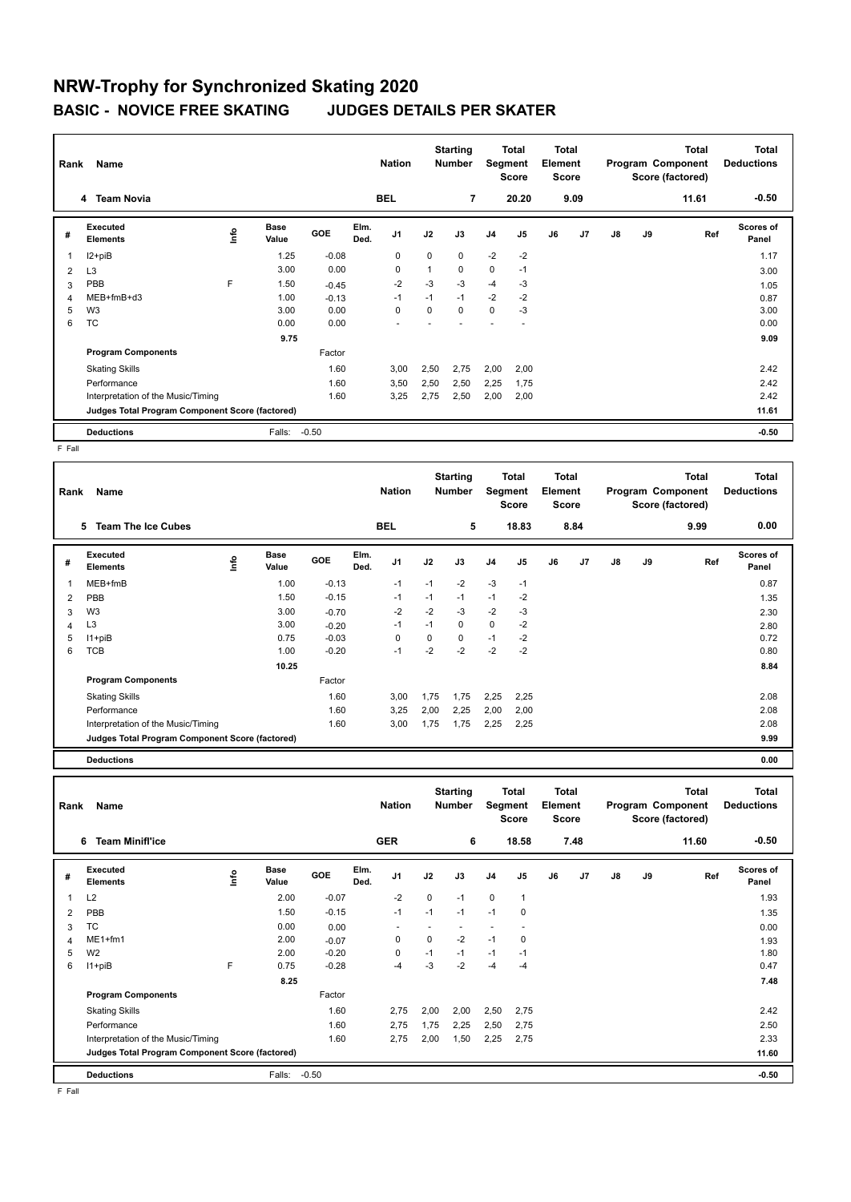## **NRW-Trophy for Synchronized Skating 2020 BASIC - NOVICE FREE SKATING JUDGES DETAILS PER SKATER**

| Rank           | Name                                            |    |                      | <b>Nation</b> |              |                | <b>Starting</b><br><b>Number</b> |             | Total<br>Segment<br><b>Score</b> |                | Total<br>Element<br><b>Score</b> |                |    | <b>Total</b><br>Program Component<br>Score (factored) | Total<br><b>Deductions</b> |                           |
|----------------|-------------------------------------------------|----|----------------------|---------------|--------------|----------------|----------------------------------|-------------|----------------------------------|----------------|----------------------------------|----------------|----|-------------------------------------------------------|----------------------------|---------------------------|
|                | 4 Team Novia                                    |    |                      |               |              | <b>BEL</b>     |                                  | 7           |                                  | 20.20          |                                  | 9.09           |    |                                                       | 11.61                      | $-0.50$                   |
| #              | Executed<br><b>Elements</b>                     | ۴ů | <b>Base</b><br>Value | <b>GOE</b>    | Elm.<br>Ded. | J <sub>1</sub> | J2                               | J3          | J <sub>4</sub>                   | J <sub>5</sub> | J6                               | J <sub>7</sub> | J8 | J9                                                    | Ref                        | <b>Scores of</b><br>Panel |
| -1             | $12+piB$                                        |    | 1.25                 | $-0.08$       |              | $\mathbf 0$    | $\Omega$                         | $\Omega$    | $-2$                             | $-2$           |                                  |                |    |                                                       |                            | 1.17                      |
| $\overline{2}$ | L <sub>3</sub>                                  |    | 3.00                 | 0.00          |              | $\mathbf 0$    | $\mathbf{1}$                     | $\mathbf 0$ | $\mathbf 0$                      | $-1$           |                                  |                |    |                                                       |                            | 3.00                      |
| 3              | PBB                                             | F  | 1.50                 | $-0.45$       |              | $-2$           | $-3$                             | $-3$        | $-4$                             | -3             |                                  |                |    |                                                       |                            | 1.05                      |
| 4              | MEB+fmB+d3                                      |    | 1.00                 | $-0.13$       |              | $-1$           | $-1$                             | $-1$        | $-2$                             | $-2$           |                                  |                |    |                                                       |                            | 0.87                      |
| 5              | W <sub>3</sub>                                  |    | 3.00                 | 0.00          |              | $\Omega$       | $\Omega$                         | $\Omega$    | $\mathbf 0$                      | $-3$           |                                  |                |    |                                                       |                            | 3.00                      |
| 6              | <b>TC</b>                                       |    | 0.00                 | 0.00          |              |                |                                  |             |                                  |                |                                  |                |    |                                                       |                            | 0.00                      |
|                |                                                 |    | 9.75                 |               |              |                |                                  |             |                                  |                |                                  |                |    |                                                       |                            | 9.09                      |
|                | <b>Program Components</b>                       |    |                      | Factor        |              |                |                                  |             |                                  |                |                                  |                |    |                                                       |                            |                           |
|                | <b>Skating Skills</b>                           |    |                      | 1.60          |              | 3,00           | 2,50                             | 2,75        | 2,00                             | 2,00           |                                  |                |    |                                                       |                            | 2.42                      |
|                | Performance                                     |    |                      | 1.60          |              | 3,50           | 2,50                             | 2,50        | 2,25                             | 1,75           |                                  |                |    |                                                       |                            | 2.42                      |
|                | Interpretation of the Music/Timing              |    |                      | 1.60          |              | 3,25           | 2,75                             | 2,50        | 2,00                             | 2,00           |                                  |                |    |                                                       |                            | 2.42                      |
|                | Judges Total Program Component Score (factored) |    |                      |               |              |                |                                  |             |                                  |                |                                  |                |    |                                                       |                            | 11.61                     |
|                | <b>Deductions</b>                               |    | Falls:               | $-0.50$       |              |                |                                  |             |                                  |                |                                  |                |    |                                                       |                            | $-0.50$                   |

F Fall

| Rank | Name                                            |      |                      |         |              | <b>Nation</b>  |      | <b>Starting</b><br><b>Number</b> |                | Total<br>Segment<br><b>Score</b> | Total<br>Element<br><b>Score</b> |                |    |    | <b>Total</b><br>Program Component<br>Score (factored) | Total<br><b>Deductions</b> |
|------|-------------------------------------------------|------|----------------------|---------|--------------|----------------|------|----------------------------------|----------------|----------------------------------|----------------------------------|----------------|----|----|-------------------------------------------------------|----------------------------|
|      | <b>Team The Ice Cubes</b><br>5                  |      |                      |         |              | <b>BEL</b>     |      | 5                                |                | 18.83                            |                                  | 8.84           |    |    | 9.99                                                  | 0.00                       |
| #    | Executed<br><b>Elements</b>                     | ١nf٥ | <b>Base</b><br>Value | GOE     | Elm.<br>Ded. | J <sub>1</sub> | J2   | J3                               | J <sub>4</sub> | J <sub>5</sub>                   | J6                               | J <sub>7</sub> | J8 | J9 | Ref                                                   | Scores of<br>Panel         |
|      | $MEB+fmB$                                       |      | 1.00                 | $-0.13$ |              | $-1$           | $-1$ | $-2$                             | $-3$           | $-1$                             |                                  |                |    |    |                                                       | 0.87                       |
| 2    | PBB                                             |      | 1.50                 | $-0.15$ |              | $-1$           | $-1$ | $-1$                             | $-1$           | $-2$                             |                                  |                |    |    |                                                       | 1.35                       |
| 3    | W <sub>3</sub>                                  |      | 3.00                 | $-0.70$ |              | $-2$           | $-2$ | $-3$                             | $-2$           | $-3$                             |                                  |                |    |    |                                                       | 2.30                       |
| 4    | L <sub>3</sub>                                  |      | 3.00                 | $-0.20$ |              | $-1$           | $-1$ | 0                                | 0              | $-2$                             |                                  |                |    |    |                                                       | 2.80                       |
| 5    | $11 + piB$                                      |      | 0.75                 | $-0.03$ |              | 0              | 0    | 0                                | $-1$           | $-2$                             |                                  |                |    |    |                                                       | 0.72                       |
| 6    | TCB                                             |      | 1.00                 | $-0.20$ |              | $-1$           | $-2$ | $-2$                             | $-2$           | $-2$                             |                                  |                |    |    |                                                       | 0.80                       |
|      |                                                 |      | 10.25                |         |              |                |      |                                  |                |                                  |                                  |                |    |    |                                                       | 8.84                       |
|      | <b>Program Components</b>                       |      |                      | Factor  |              |                |      |                                  |                |                                  |                                  |                |    |    |                                                       |                            |
|      | <b>Skating Skills</b>                           |      |                      | 1.60    |              | 3,00           | 1,75 | 1,75                             | 2,25           | 2,25                             |                                  |                |    |    |                                                       | 2.08                       |
|      | Performance                                     |      |                      | 1.60    |              | 3,25           | 2,00 | 2,25                             | 2,00           | 2,00                             |                                  |                |    |    |                                                       | 2.08                       |
|      | Interpretation of the Music/Timing              |      |                      | 1.60    |              | 3,00           | 1,75 | 1,75                             | 2,25           | 2,25                             |                                  |                |    |    |                                                       | 2.08                       |
|      | Judges Total Program Component Score (factored) |      |                      |         |              |                |      |                                  |                |                                  |                                  |                |    |    |                                                       | 9.99                       |

**Deductions 0.00**

**Total Deductions Total Program Component Score (factored) Total Element Score Total Segment Score Starting Rank Name Nation Number # Executed Elements Base Value GOE J1 J2 J3 J4 J5 J6 J7 J8 J9 Scores of Panel** 1 2.00 -0.07 -2 0 -1 0 1 **Ref**  1.93 **Elm. Ded.**  L2 **Info 6 Team Minifl'ice GER 6 18.58 7.48 11.60 -0.50** 2 PBB 1.50 -0.15 -1 -1 -1 -1 0 1.35 3 TC 0.00 0.00 0.00 - - - - - - 0.00 0.00 4 ME1+fm1 2.00 -0.07 0 0 -2 -1 0 1.93  $5$  W2 2.00 -0.20 0 -1 -1 -1 -1 -1 -1 1.80 6 I1+piB F 0.75 -0.28 -4 -3 -2 -4 -4 0.47  **8.25 7.48 Program Components**  Skating Skills 2,75 2,00 2,50 2,75 2,00 2,50 2,75 Factor 1.60 2.75 2.00 2.00 2.50 2.75 2.42 Performance 1.60 2,75 1,75 2,25 2,50 2,75 2.50 Interpretation of the Music/Timing 1.60 2,75 2,00 1,50 2,25 2,75 2.33 2.33 **Deductions** Falls: -0.50 **-0.50 Judges Total Program Component Score (factored) 11.60**

F Fall